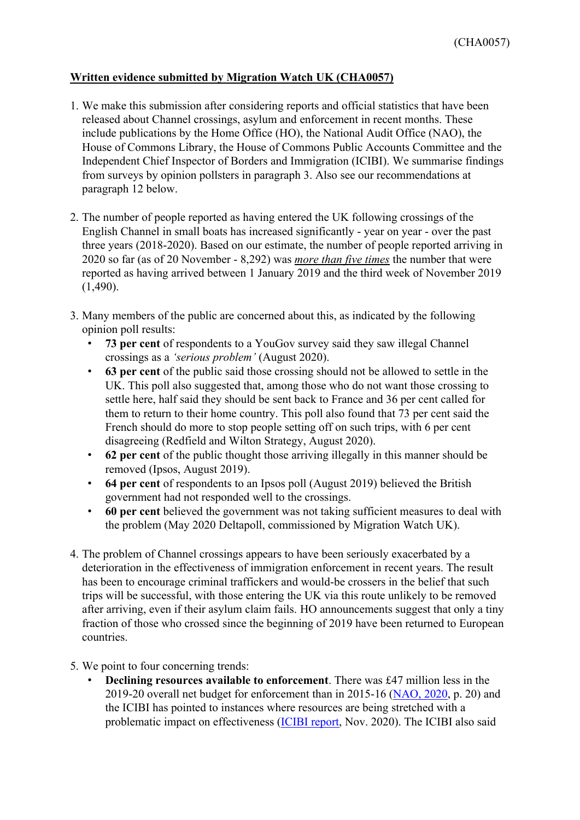## **Written evidence submitted by Migration Watch UK (CHA0057)**

- 1. We make this submission after considering reports and official statistics that have been released about Channel crossings, asylum and enforcement in recent months. These include publications by the Home Office (HO), the National Audit Office (NAO), the House of Commons Library, the House of Commons Public Accounts Committee and the Independent Chief Inspector of Borders and Immigration (ICIBI). We summarise findings from surveys by opinion pollsters in paragraph 3. Also see our recommendations at paragraph 12 below.
- 2. The number of people reported as having entered the UK following crossings of the English Channel in small boats has increased significantly - year on year - over the past three years (2018-2020). Based on our estimate, the number of people reported arriving in 2020 so far (as of 20 November - 8,292) was *more than five times* the number that were reported as having arrived between 1 January 2019 and the third week of November 2019  $(1,490)$ .
- 3. Many members of the public are concerned about this, as indicated by the following opinion poll results:
	- **73 per cent** of respondents to a YouGov survey said they saw illegal Channel crossings as a *'serious problem'* (August 2020).
	- **63 per cent** of the public said those crossing should not be allowed to settle in the UK. This poll also suggested that, among those who do not want those crossing to settle here, half said they should be sent back to France and 36 per cent called for them to return to their home country. This poll also found that 73 per cent said the French should do more to stop people setting off on such trips, with 6 per cent disagreeing (Redfield and Wilton Strategy, August 2020).
	- **62 per cent** of the public thought those arriving illegally in this manner should be removed (Ipsos, August 2019).
	- **64 per cent** of respondents to an Ipsos poll (August 2019) believed the British government had not responded well to the crossings.
	- **60 per cent** believed the government was not taking sufficient measures to deal with the problem (May 2020 Deltapoll, commissioned by Migration Watch UK).
- 4. The problem of Channel crossings appears to have been seriously exacerbated by a deterioration in the effectiveness of immigration enforcement in recent years. The result has been to encourage criminal traffickers and would-be crossers in the belief that such trips will be successful, with those entering the UK via this route unlikely to be removed after arriving, even if their asylum claim fails. HO announcements suggest that only a tiny fraction of those who crossed since the beginning of 2019 have been returned to European countries.
- 5. We point to four concerning trends:
	- **Declining resources available to enforcement**. There was £47 million less in the 2019-20 overall net budget for enforcement than in 2015-16 ([NAO,](https://www.nao.org.uk/wp-content/uploads/2020/06/Immigration-enforcement.pdf) [2020,](https://www.nao.org.uk/wp-content/uploads/2020/06/Immigration-enforcement.pdf) p. 20) and the ICIBI has pointed to instances where resources are being stretched with a problematic impact on effectiveness [\(ICIBI](https://assets.publishing.service.gov.uk/government/uploads/system/uploads/attachment_data/file/933953/An_inspection_of_the_Home_Office_s_response_to_in-country_clandestine_arrivals___lorry_drops___and_to_irregular_migrants_arriving_via__small_boats_.pdf) [report,](https://assets.publishing.service.gov.uk/government/uploads/system/uploads/attachment_data/file/933953/An_inspection_of_the_Home_Office_s_response_to_in-country_clandestine_arrivals___lorry_drops___and_to_irregular_migrants_arriving_via__small_boats_.pdf) Nov. 2020). The ICIBI also said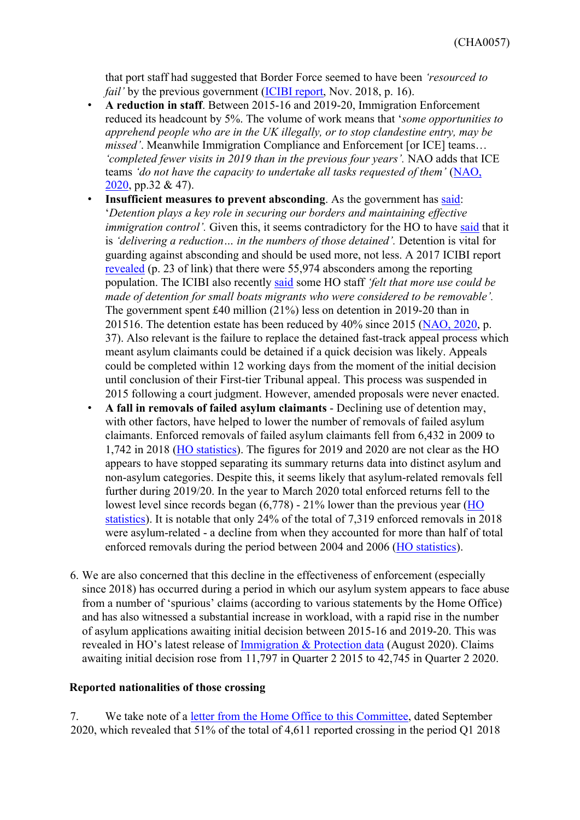that port staff had suggested that Border Force seemed to have been *'resourced to fail'* by the previous government *[\(ICIBI](https://assets.publishing.service.gov.uk/government/uploads/system/uploads/attachment_data/file/755272/ICIBI_An_inspection_of_South_Coast_Ports.pdf) [report,](https://assets.publishing.service.gov.uk/government/uploads/system/uploads/attachment_data/file/755272/ICIBI_An_inspection_of_South_Coast_Ports.pdf) Nov. 2018, p. 16).* 

- **A reduction in staff**. Between 2015-16 and 2019-20, Immigration Enforcement reduced its headcount by 5%. The volume of work means that '*some opportunities to apprehend people who are in the UK illegally, or to stop clandestine entry, may be missed'*. Meanwhile Immigration Compliance and Enforcement [or ICE] teams... *'completed fewer visits in 2019 than in the previous four years'.* NAO adds that [IC](https://www.nao.org.uk/wp-content/uploads/2020/06/Immigration-enforcement.pdf)E teams *'do not have the capacity to undertake all tasks requested of them'* [\(NAO,](https://www.nao.org.uk/wp-content/uploads/2020/06/Immigration-enforcement.pdf) [2020,](https://www.nao.org.uk/wp-content/uploads/2020/06/Immigration-enforcement.pdf) pp.32 & 47).
- **Insufficient measures to prevent absconding**. As the government has [said:](https://www.parliament.uk/business/publications/written-questions-answers-statements/written-question/Lords/2020-04-23/HL3389/) '*Detention plays a key role in securing our borders and maintaining effective immigra[t](https://assets.publishing.service.gov.uk/government/uploads/system/uploads/attachment_data/file/807126/6.5571_HO_Annual_Report_201920_WEB.PDF)ion control'*. Given this, it seems contradictory for the HO to have [said](https://assets.publishing.service.gov.uk/government/uploads/system/uploads/attachment_data/file/807126/6.5571_HO_Annual_Report_201920_WEB.PDF) that it is *'delivering a reduction… in the numbers of those detained'.* Detention is vital for guarding against absconding and should be used more, not less. A 2017 ICIBI report [revealed](https://assets.publishing.service.gov.uk/government/uploads/system/uploads/attachment_data/file/656588/An_Inspection_of_Home_Office_s_ROM_processes.pdf) [\(](https://assets.publishing.service.gov.uk/government/uploads/system/uploads/attachment_data/file/656588/An_Inspection_of_Home_Office_s_ROM_processes.pdf)p. 23 of link) that there were 55,974 absconders among the reporting population. The ICIBI also recently [said](https://assets.publishing.service.gov.uk/government/uploads/system/uploads/attachment_data/file/933953/An_inspection_of_the_Home_Office_s_response_to_in-country_clandestine_arrivals___lorry_drops___and_to_irregular_migrants_arriving_via__small_boats_.pdf) some HO staff *'felt that more use could be made of detention for small boats migrants who were considered to be removable'.* The government spent £40 million (21%) less on detention in 2019-20 than in 201516. The detention estate has been reduced by 40% since 2015 ([NAO,](https://www.nao.org.uk/wp-content/uploads/2020/06/Immigration-enforcement.pdf) [2020,](https://www.nao.org.uk/wp-content/uploads/2020/06/Immigration-enforcement.pdf) p. 37). Also relevant is the failure to replace the detained fast-track appeal process which meant asylum claimants could be detained if a quick decision was likely. Appeals could be completed within 12 working days from the moment of the initial decision until conclusion of their First-tier Tribunal appeal. This process was suspended in 2015 following a court judgment. However, amended proposals were never enacted.
- **A fall in removals of failed asylum claimants** Declining use of detention may, with other factors, have helped to lower the number of removals of failed asylum claimants. Enforced removals of failed asylum claimants fell from 6,432 in 2009 to 1,742 in 2018 [\(HO](https://www.gov.uk/government/publications/immigration-statistics-year-ending-december-2018/how-many-people-are-detained-or-returned) [statistics\)](https://www.gov.uk/government/publications/immigration-statistics-year-ending-december-2018/how-many-people-are-detained-or-returned). The figures for 2019 and 2020 are not clear as the HO appears to have stopped separating its summary returns data into distinct asylum and non-asylum categories. Despite this, it seems likely that asylum-related removals fell further during 2019/20. In the year to March 2020 total enforced returns fell to the lowest level since records began (6,778) - 21% lower than the previous year ([HO](https://www.gov.uk/government/publications/immigration-statistics-year-ending-march-2020/how-many-people-are-detained-or-returned) [statistics\)](https://www.gov.uk/government/publications/immigration-statistics-year-ending-march-2020/how-many-people-are-detained-or-returned). It is notable that only 24% of the total of 7,319 enforced removals in 2018 were asylum-related - a decline from when they accounted for more than half of total enforced removals during the period between 2004 and 2006 [\(HO](https://www.gov.uk/government/publications/immigration-statistics-year-ending-december-2018/how-many-people-are-detained-or-returned) [statistics\).](https://www.gov.uk/government/publications/immigration-statistics-year-ending-december-2018/how-many-people-are-detained-or-returned)
- 6. We are also concerned that this decline in the effectiveness of enforcement (especially since 2018) has occurred during a period in which our asylum system appears to face abuse from a number of 'spurious' claims (according to various statements by the Home Office) and has also witnessed a substantial increase in workload, with a rapid rise in the number of asylum applications awaiting initial decision between 2015-16 and 2019-20. This was revealed in HO's latest release of [Immigration](https://www.gov.uk/government/publications/immigration-protection-data-august-2020) [&](https://www.gov.uk/government/publications/immigration-protection-data-august-2020) [Protection](https://www.gov.uk/government/publications/immigration-protection-data-august-2020) [data](https://www.gov.uk/government/publications/immigration-protection-data-august-2020) (August 2020). Claims awaiting initial decision rose from 11,797 in Quarter 2 2015 to 42,745 in Quarter 2 2020.

## **Reported nationalities of those crossing**

7. We take note of a [letter](https://committees.parliament.uk/publications/2333/documents/22962/default/) [from](https://committees.parliament.uk/publications/2333/documents/22962/default/) [the](https://committees.parliament.uk/publications/2333/documents/22962/default/) [Home](https://committees.parliament.uk/publications/2333/documents/22962/default/) [Office](https://committees.parliament.uk/publications/2333/documents/22962/default/) [to](https://committees.parliament.uk/publications/2333/documents/22962/default/) [this](https://committees.parliament.uk/publications/2333/documents/22962/default/) [Committee,](https://committees.parliament.uk/publications/2333/documents/22962/default/) dated September 2020, which revealed that 51% of the total of 4,611 reported crossing in the period Q1 2018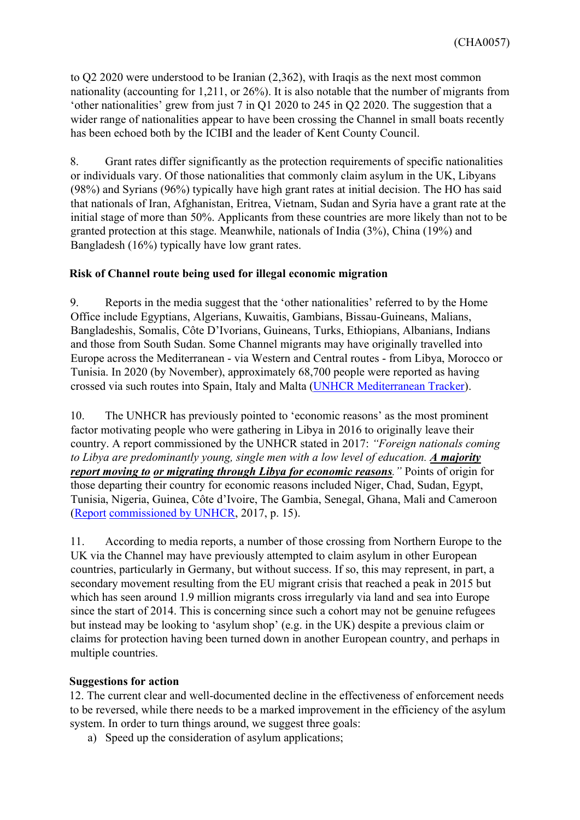to Q2 2020 were understood to be Iranian (2,362), with Iraqis as the next most common nationality (accounting for 1,211, or 26%). It is also notable that the number of migrants from 'other nationalities' grew from just 7 in Q1 2020 to 245 in Q2 2020. The suggestion that a wider range of nationalities appear to have been crossing the Channel in small boats recently has been echoed both by the ICIBI and the leader of Kent County Council.

8. Grant rates differ significantly as the protection requirements of specific nationalities or individuals vary. Of those nationalities that commonly claim asylum in the UK, Libyans (98%) and Syrians (96%) typically have high grant rates at initial decision. The HO has said that nationals of Iran, Afghanistan, Eritrea, Vietnam, Sudan and Syria have a grant rate at the initial stage of more than 50%. Applicants from these countries are more likely than not to be granted protection at this stage. Meanwhile, nationals of India (3%), China (19%) and Bangladesh (16%) typically have low grant rates.

## **Risk of Channel route being used for illegal economic migration**

9. Reports in the media suggest that the 'other nationalities' referred to by the Home Office include Egyptians, Algerians, Kuwaitis, Gambians, Bissau-Guineans, Malians, Bangladeshis, Somalis, Côte D'Ivorians, Guineans, Turks, Ethiopians, Albanians, Indians and those from South Sudan. Some Channel migrants may have originally travelled into Europe across the Mediterranean - via Western and Central routes - from Libya, Morocco or Tunisia. In 2020 (by November), approximately 68,700 people were reported as having crossed via such routes into Spain, Italy and Malta ([UNHCR](https://data2.unhcr.org/en/situations/mediterranean) [Mediterranean](https://data2.unhcr.org/en/situations/mediterranean) [Tracker\)](https://data2.unhcr.org/en/situations/mediterranean).

10. The UNHCR has previously pointed to 'economic reasons' as the most prominent factor motivating people who were gathering in Libya in 2016 to originally leave their country. A report commissioned by the UNHCR stated in 2017: *"Foreign nationals coming to Libya are predominantly young, single men with a low level of education. A majority report moving to or migrating through Libya for economic reasons."* Points of origin for those departing their country for economic reasons included Niger, Chad, Sudan, Egypt, Tunisia, Nigeria, Guinea, Côte d'Ivoire, The Gambia, Senegal, Ghana, Mali and Cameroon [\(Report](https://www.altaiconsulting.com/wp-content/uploads/2017/08/2017_Mixed-Migration-Trends-in-Libya-Final-Report-Web.pdf) [commissioned](https://www.altaiconsulting.com/wp-content/uploads/2017/08/2017_Mixed-Migration-Trends-in-Libya-Final-Report-Web.pdf) [by](https://www.altaiconsulting.com/wp-content/uploads/2017/08/2017_Mixed-Migration-Trends-in-Libya-Final-Report-Web.pdf) [UNHCR,](https://www.altaiconsulting.com/wp-content/uploads/2017/08/2017_Mixed-Migration-Trends-in-Libya-Final-Report-Web.pdf) 2017, p. 15).

11. According to media reports, a number of those crossing from Northern Europe to the UK via the Channel may have previously attempted to claim asylum in other European countries, particularly in Germany, but without success. If so, this may represent, in part, a secondary movement resulting from the EU migrant crisis that reached a peak in 2015 but which has seen around 1.9 million migrants cross irregularly via land and sea into Europe since the start of 2014. This is concerning since such a cohort may not be genuine refugees but instead may be looking to 'asylum shop' (e.g. in the UK) despite a previous claim or claims for protection having been turned down in another European country, and perhaps in multiple countries.

## **Suggestions for action**

12. The current clear and well-documented decline in the effectiveness of enforcement needs to be reversed, while there needs to be a marked improvement in the efficiency of the asylum system. In order to turn things around, we suggest three goals:

a) Speed up the consideration of asylum applications;